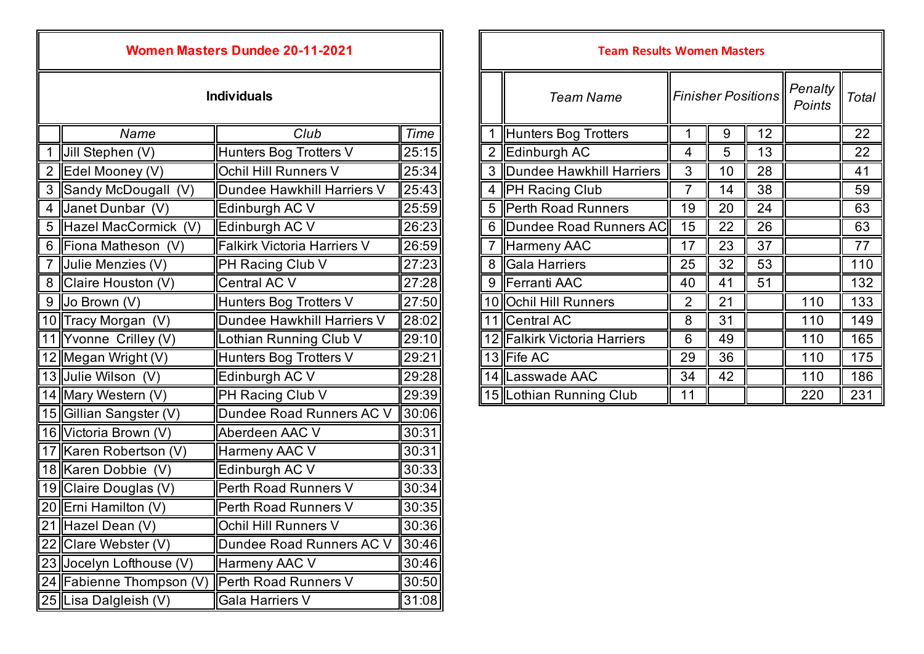| <b>Women Masters Dundee 20-11-2021</b> |                          |                                    |       | <b>Team Results Women Masters</b> |                |                              |                           |    |                 |                   |      |
|----------------------------------------|--------------------------|------------------------------------|-------|-----------------------------------|----------------|------------------------------|---------------------------|----|-----------------|-------------------|------|
| <b>Individuals</b>                     |                          |                                    |       |                                   |                | <b>Team Name</b>             | <b>Finisher Positions</b> |    |                 | Penalty<br>Points | Tota |
|                                        | Name                     | Club                               | Time  |                                   |                | Hunters Bog Trotters         | 1                         | 9  | 12              |                   | 22   |
|                                        | 1 Jill Stephen $(V)$     | Hunters Bog Trotters V             | 25:15 |                                   | $\overline{2}$ | Edinburgh AC                 | 4                         | 5  | 13              |                   | 22   |
|                                        | 2 Edel Mooney (V)        | Ochil Hill Runners V               | 25:34 |                                   | 3              | Dundee Hawkhill Harriers     | 3                         | 10 | 28              |                   | 41   |
|                                        | 3 Sandy McDougall (V)    | Dundee Hawkhill Harriers V         | 25:43 |                                   | $\overline{4}$ | <b>PH Racing Club</b>        | $\overline{7}$            | 14 | 38              |                   | 59   |
| 4 I                                    | Janet Dunbar (V)         | Edinburgh AC V                     | 25:59 |                                   | 5              | Perth Road Runners           | 19                        | 20 | 24              |                   | 63   |
|                                        | 5 Hazel MacCormick (V)   | Edinburgh AC V                     | 26:23 |                                   | 6              | Dundee Road Runners AC       | 15                        | 22 | 26              |                   | 63   |
|                                        | 6 Fiona Matheson (V)     | <b>Falkirk Victoria Harriers V</b> | 26:59 |                                   | $\overline{7}$ | Harmeny AAC                  | 17                        | 23 | 37              |                   | 77   |
| 7 I                                    | Julie Menzies (V)        | PH Racing Club V                   | 27:23 |                                   | 8              | Gala Harriers                | 25                        | 32 | 53              |                   | 110  |
|                                        | 8 Claire Houston (V)     | <b>Central AC V</b>                | 27:28 |                                   | 9              | Ferranti AAC                 | 40                        | 41 | $\overline{51}$ |                   | 132  |
| $9 \mid$                               | Jo Brown (V)             | Hunters Bog Trotters V             | 27:50 |                                   | 10             | <b>Ochil Hill Runners</b>    | $\overline{2}$            | 21 |                 | 110               | 133  |
|                                        | 10 Tracy Morgan (V)      | Dundee Hawkhill Harriers V         | 28:02 |                                   |                | 11 Central AC                | 8                         | 31 |                 | 110               | 149  |
|                                        | 11 Yvonne Crilley (V)    | Lothian Running Club V             | 29:10 |                                   |                | 12 Falkirk Victoria Harriers | $6\,$                     | 49 |                 | 110               | 165  |
|                                        | 12 Megan Wright $(V)$    | Hunters Bog Trotters V             | 29:21 |                                   |                | 13 Fife AC                   | 29                        | 36 |                 | 110               | 175  |
|                                        | 13 Julie Wilson (V)      | Edinburgh AC V                     | 29:28 |                                   |                | 14 Lasswade AAC              | 34                        | 42 |                 | 110               | 186  |
|                                        | 14 Mary Western $(V)$    | PH Racing Club V                   | 29:39 |                                   |                | 15 Lothian Running Club      | 11                        |    |                 | 220               | 231  |
|                                        | 15 Gillian Sangster (V)  | Dundee Road Runners AC V           | 30:06 |                                   |                |                              |                           |    |                 |                   |      |
|                                        | 16 Victoria Brown (V)    | Aberdeen AAC V                     | 30:31 |                                   |                |                              |                           |    |                 |                   |      |
|                                        | 17 Karen Robertson (V)   | Harmeny AAC V                      | 30:31 |                                   |                |                              |                           |    |                 |                   |      |
|                                        | 18 Karen Dobbie (V)      | Edinburgh AC V                     | 30:33 |                                   |                |                              |                           |    |                 |                   |      |
|                                        | 19 Claire Douglas (V)    | Perth Road Runners V               | 30:34 |                                   |                |                              |                           |    |                 |                   |      |
|                                        | 20 Erni Hamilton (V)     | Perth Road Runners V               | 30:35 |                                   |                |                              |                           |    |                 |                   |      |
|                                        | 21 Hazel Dean (V)        | Ochil Hill Runners V               | 30:36 |                                   |                |                              |                           |    |                 |                   |      |
|                                        | 22 Clare Webster (V)     | Dundee Road Runners AC V           | 30:46 |                                   |                |                              |                           |    |                 |                   |      |
|                                        | 23 Jocelyn Lofthouse (V) | Harmeny AAC V                      | 30:46 |                                   |                |                              |                           |    |                 |                   |      |
|                                        | 24 Fabienne Thompson (V) | Perth Road Runners V               | 30:50 |                                   |                |                              |                           |    |                 |                   |      |
|                                        | 25 Lisa Dalgleish (V)    | <b>Gala Harriers V</b>             | 31:08 |                                   |                |                              |                           |    |                 |                   |      |

| <b>Women Masters Dundee 20-11-2021</b> |                             |       | <b>Team Results Women Masters</b> |                              |                           |    |    |                   |       |  |  |
|----------------------------------------|-----------------------------|-------|-----------------------------------|------------------------------|---------------------------|----|----|-------------------|-------|--|--|
| <b>Individuals</b>                     |                             |       |                                   | <b>Team Name</b>             | <b>Finisher Positions</b> |    |    | Penalty<br>Points | Total |  |  |
| Name                                   | Club                        | Time  |                                   | Hunters Bog Trotters         |                           | 9  | 12 |                   | 22    |  |  |
| en (V)                                 | Hunters Bog Trotters V      | 25:15 | 2                                 | Edinburgh AC                 | $\overline{4}$            | 5  | 13 |                   | 22    |  |  |
| ney(V)                                 | Ochil Hill Runners V        | 25:34 | 3                                 | Dundee Hawkhill Harriers     | 3                         | 10 | 28 |                   | 41    |  |  |
| Dougall (V)                            | Dundee Hawkhill Harriers V  | 25:43 | 4                                 | <b>PH Racing Club</b>        |                           | 14 | 38 |                   | 59    |  |  |
| nbar (V)                               | Edinburgh AC V              | 25:59 | 5                                 | Perth Road Runners           | 19                        | 20 | 24 |                   | 63    |  |  |
| cCormick (V)                           | Edinburgh AC V              | 26:23 |                                   | 6   Dundee Road Runners AC   | 15                        | 22 | 26 |                   | 63    |  |  |
| theson<br>(V)                          | Falkirk Victoria Harriers V | 26:59 |                                   | Harmeny AAC                  | 17                        | 23 | 37 |                   | 77    |  |  |
| izies (V)                              | PH Racing Club V            | 27:23 | 8                                 | Gala Harriers                | 25                        | 32 | 53 |                   | 110   |  |  |
| uston $(V)$                            | Central AC V                | 27:28 | 9                                 | Ferranti AAC                 | 40                        | 41 | 51 |                   | 132   |  |  |
| (V)                                    | Hunters Bog Trotters V      | 27:50 |                                   | 10 Ochil Hill Runners        | $\overline{2}$            | 21 |    | 110               | 133   |  |  |
| rgan (V)                               | Dundee Hawkhill Harriers V  | 28:02 |                                   | 11 Central AC                | 8                         | 31 |    | 110               | 149   |  |  |
| Crilley (V)                            | othian Running Club V       | 29:10 |                                   | 12 Falkirk Victoria Harriers | 6                         | 49 |    | 110               | 165   |  |  |
| right (V)                              | Hunters Bog Trotters V      | 29:21 |                                   | 13 Fife AC                   | 29                        | 36 |    | 110               | 175   |  |  |
| on (V)                                 | Edinburgh AC V              | 29:28 |                                   | 14 Lasswade AAC              | 34                        | 42 |    | 110               | 186   |  |  |
| stern (V)                              | PH Racing Club V            | 29:39 |                                   | 15   Lothian Running Club    | 11                        |    |    | 220               | 231   |  |  |
|                                        |                             |       |                                   |                              |                           |    |    |                   |       |  |  |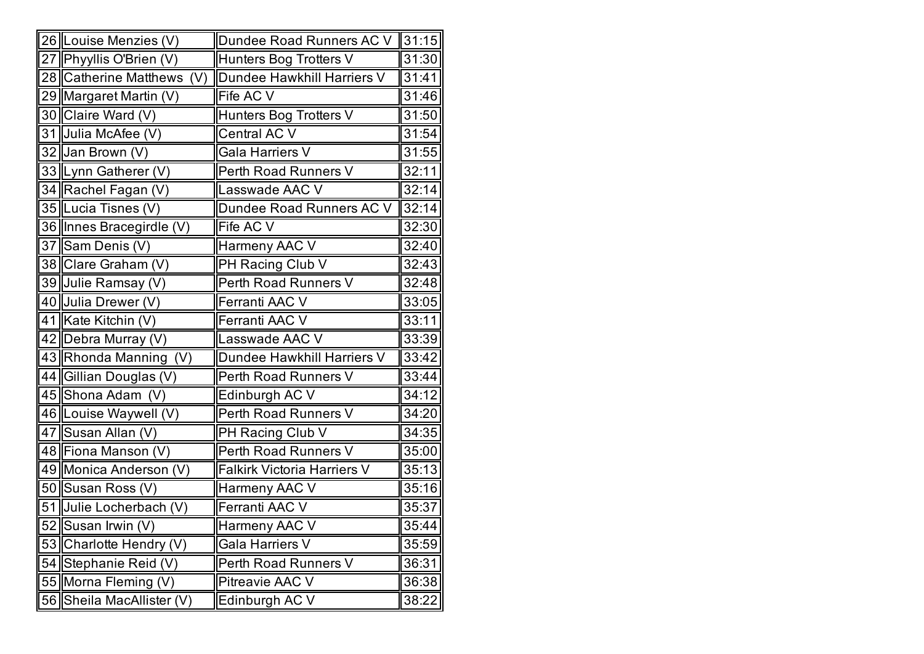|    | 26 Louise Menzies (V)        | Dundee Road Runners AC V           | 31:15 |
|----|------------------------------|------------------------------------|-------|
|    | 27 Phyyllis O'Brien (V)      | Hunters Bog Trotters V             | 31:30 |
|    | 28 Catherine Matthews<br>(V) | Dundee Hawkhill Harriers V         | 31:41 |
|    | 29 Margaret Martin (V)       | Fife AC V                          | 31:46 |
|    | 30 Claire Ward (V)           | Hunters Bog Trotters V             | 31:50 |
|    | 31 Julia McAfee (V)          | Central AC V                       | 31:54 |
|    | 32 Jan Brown (V)             | Gala Harriers V                    | 31:55 |
|    | 33  Lynn Gatherer (V)        | Perth Road Runners V               | 32:11 |
|    | 34 Rachel Fagan (V)          | Lasswade AAC V                     | 32:14 |
|    | 35 Lucia Tisnes (V)          | Dundee Road Runners AC V           | 32:14 |
|    | 36 Innes Bracegirdle (V)     | Fife AC V                          | 32:30 |
|    | 37 Sam Denis (V)             | Harmeny AAC V                      | 32:40 |
|    | 38 Clare Graham (V)          | PH Racing Club V                   | 32:43 |
|    | 39 Julie Ramsay (V)          | Perth Road Runners V               | 32:48 |
|    | 40 Julia Drewer (V)          | Ferranti AAC V                     | 33:05 |
|    | 41 Kate Kitchin (V)          | Ferranti AAC V                     | 33:11 |
|    | 42 Debra Murray (V)          | Lasswade AAC V                     | 33:39 |
|    | 43 Rhonda Manning (V)        | Dundee Hawkhill Harriers V         | 33:42 |
|    | 44 Gillian Douglas (V)       | Perth Road Runners V               | 33:44 |
|    | 45 Shona Adam (V)            | Edinburgh AC V                     | 34:12 |
|    | 46   Louise Waywell (V)      | Perth Road Runners V               | 34:20 |
|    | 47 Susan Allan (V)           | PH Racing Club V                   | 34:35 |
|    | 48 Fiona Manson (V)          | Perth Road Runners V               | 35:00 |
|    | 49 Monica Anderson (V)       | <b>Falkirk Victoria Harriers V</b> | 35:13 |
|    | 50 Susan Ross (V)            | Harmeny AAC V                      | 35:16 |
|    | 51 Julie Locherbach (V)      | Ferranti AAC V                     | 35:37 |
|    | 52 Susan Irwin (V)           | Harmeny AAC V                      | 35:44 |
| 53 | Charlotte Hendry (V)         | Gala Harriers V                    | 35:59 |
| 54 | Stephanie Reid (V)           | Perth Road Runners V               | 36:31 |
|    | 55 Morna Fleming (V)         | Pitreavie AAC V                    | 36:38 |
| 56 | Sheila MacAllister (V)       | Edinburgh AC V                     | 38:22 |